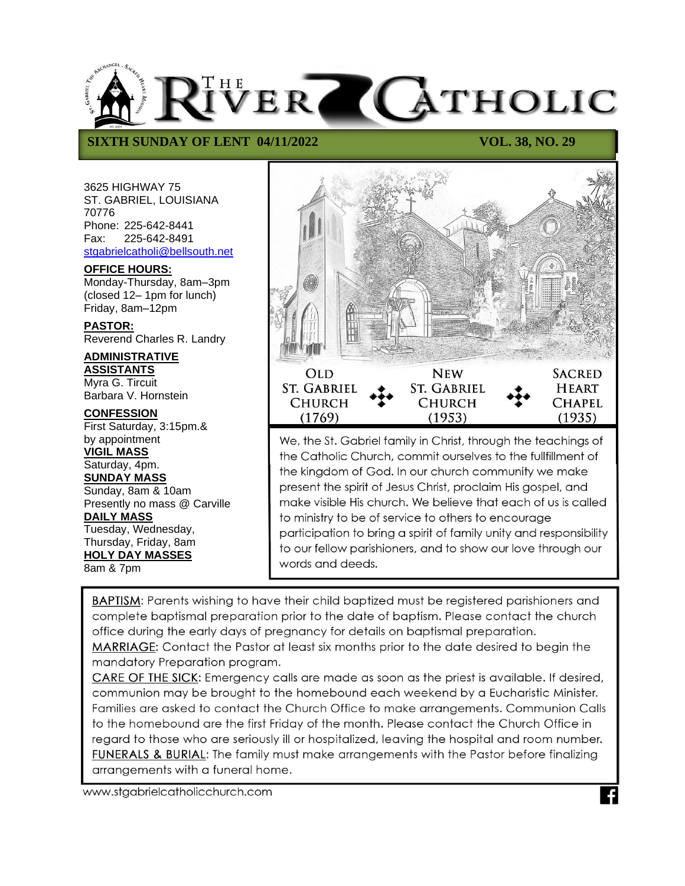

## **SIXTH SUNDAY OF LENT 04/11/2022** VOL. 38, NO. 29

3625 HIGHWAY 75 ST. GABRIEL, LOUISIANA 70776 Phone: 225-642-8441 Fax: 225-642-8491 [stgabrielcatholi@bellsouth.net](mailto:stgabrielcatholi@bellsouth.net)

#### **OFFICE HOURS:**

Monday-Thursday, 8am–3pm (closed 12– 1pm for lunch) Friday, 8am–12pm

**PASTOR:** Reverend Charles R. Landry

# **ADMINISTRATIVE**

**ASSISTANTS** Myra G. Tircuit Barbara V. Hornstein

**CONFESSION** First Saturday, 3:15pm.& by appointment

**VIGIL MASS** Saturday, 4pm.

# **SUNDAY MASS**

Sunday, 8am & 10am Presently no mass @ Carville **DAILY MASS** Tuesday, Wednesday, Thursday, Friday, 8am **HOLY DAY MASSES**

8am & 7pm



We, the St. Gabriel family in Christ, through the teachings of the Catholic Church, commit ourselves to the fullfillment of the kingdom of God. In our church community we make present the spirit of Jesus Christ, proclaim His gospel, and make visible His church. We believe that each of us is called to ministry to be of service to others to encourage participation to bring a spirit of family unity and responsibility to our fellow parishioners, and to show our love through our words and deeds.

BAPTISM: Parents wishing to have their child baptized must be registered parishioners and complete baptismal preparation prior to the date of baptism. Please contact the church office during the early days of pregnancy for details on baptismal preparation.

MARRIAGE: Contact the Pastor at least six months prior to the date desired to begin the mandatory Preparation program.

CARE OF THE SICK: Emergency calls are made as soon as the priest is available. If desired, communion may be brought to the homebound each weekend by a Eucharistic Minister. Families are asked to contact the Church Office to make arrangements. Communion Calls to the homebound are the first Friday of the month. Please contact the Church Office in regard to those who are seriously ill or hospitalized, leaving the hospital and room number. **FUNERALS & BURIAL:** The family must make arrangements with the Pastor before finalizing arrangements with a funeral home.

www.stgabrielcatholicchurch.com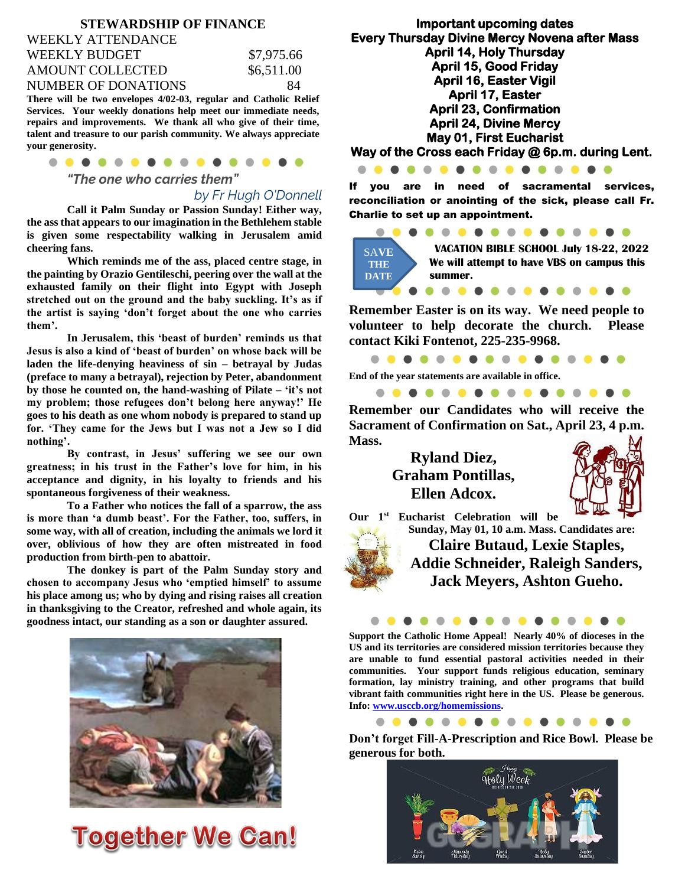#### **STEWARDSHIP OF FINANCE**

| WEEKLY ATTENDANCE   |            |
|---------------------|------------|
| WEEKLY BUDGET       | \$7,975.66 |
| AMOUNT COLLECTED    | \$6,511.00 |
| NUMBER OF DONATIONS | 84         |
|                     |            |

**There will be two envelopes 4/02-03, regular and Catholic Relief Services. Your weekly donations help meet our immediate needs, repairs and improvements. We thank all who give of their time, talent and treasure to our parish community. We always appreciate your generosity.**

| . |  |  |  |
|---|--|--|--|

*"The one who carries them"*

*by Fr Hugh O'Donnell*

**Call it Palm Sunday or Passion Sunday! Either way, the ass that appears to our imagination in the Bethlehem stable is given some respectability walking in Jerusalem amid cheering fans.**

**Which reminds me of the ass, placed centre stage, in the painting by Orazio Gentileschi, peering over the wall at the exhausted family on their flight into Egypt with Joseph stretched out on the ground and the baby suckling. It's as if the artist is saying 'don't forget about the one who carries them'.**

**In Jerusalem, this 'beast of burden' reminds us that Jesus is also a kind of 'beast of burden' on whose back will be laden the life-denying heaviness of sin – betrayal by Judas (preface to many a betrayal), rejection by Peter, abandonment by those he counted on, the hand-washing of Pilate – 'it's not my problem; those refugees don't belong here anyway!' He goes to his death as one whom nobody is prepared to stand up for. 'They came for the Jews but I was not a Jew so I did nothing'.**

**By contrast, in Jesus' suffering we see our own greatness; in his trust in the Father's love for him, in his acceptance and dignity, in his loyalty to friends and his spontaneous forgiveness of their weakness.**

**To a Father who notices the fall of a sparrow, the ass is more than 'a dumb beast'. For the Father, too, suffers, in some way, with all of creation, including the animals we lord it over, oblivious of how they are often mistreated in food production from birth-pen to abattoir.**

**The donkey is part of the Palm Sunday story and chosen to accompany Jesus who 'emptied himself' to assume his place among us; who by dying and rising raises all creation in thanksgiving to the Creator, refreshed and whole again, its goodness intact, our standing as a son or daughter assured.**



**Together We Can!** 

**Important upcoming dates Every Thursday Divine Mercy Novena after Mass April 14, Holy Thursday April 15, Good Friday April 16, Easter Vigil April 17, Easter April 23, Confirmation April 24, Divine Mercy May 01, First Eucharist Way of the Cross each Friday @ 6p.m. during Lent.** 

If you are in need of sacramental services, reconciliation or anointing of the sick, please call Fr. Charlie to set up an appointment.



**Remember Easter is on its way. We need people to volunteer to help decorate the church. Please contact Kiki Fontenot, 225-235-9968.**

. . . . . . . . . . . .

**End of the year statements are available in office.**

....

. . . . . . . . . . . . .

**Remember our Candidates who will receive the Sacrament of Confirmation on Sat., April 23, 4 p.m. Mass.**

> **Ryland Diez, Graham Pontillas, Ellen Adcox.**



**Our 1st Eucharist Celebration will be Sunday, May 01, 10 a.m. Mass. Candidates are: Claire Butaud, Lexie Staples, Addie Schneider, Raleigh Sanders, Jack Meyers, Ashton Gueho.**

. . . . . . . . . . .

**Support the Catholic Home Appeal! Nearly 40% of dioceses in the US and its territories are considered mission territories because they are unable to fund essential pastoral activities needed in their communities. Your support funds religious education, seminary formation, lay ministry training, and other programs that build vibrant faith communities right here in the US. Please be generous. Info[: www.usccb.org/homemissions.](http://www.usccb.org/homemissions)**

. . . . . . . . . . . . . . . .

**Don't forget Fill-A-Prescription and Rice Bowl. Please be generous for both.**

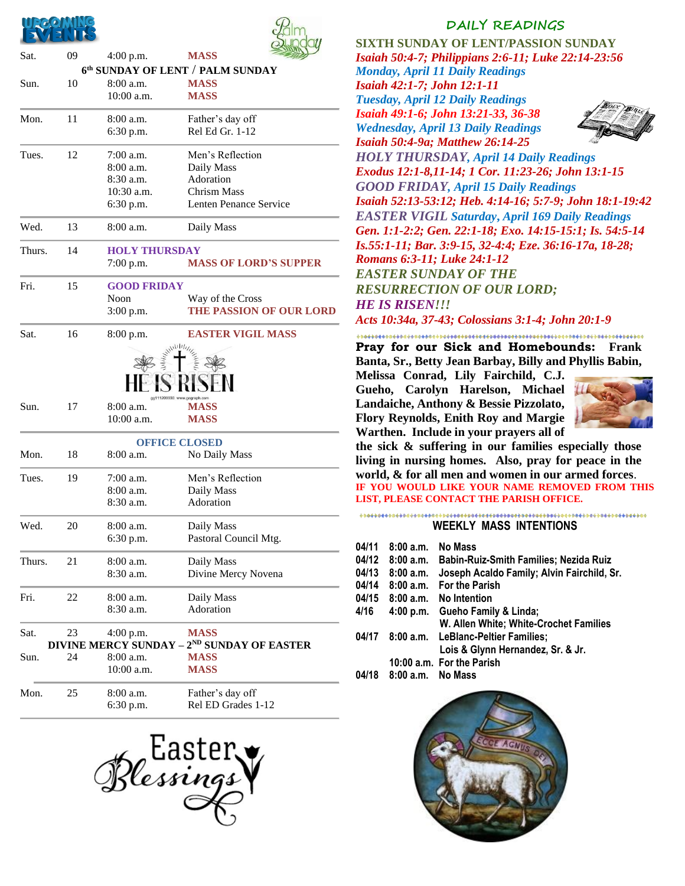



| Sat.         | 09        | 4:00 p.m.            | <b>MASS</b>                                            |
|--------------|-----------|----------------------|--------------------------------------------------------|
|              |           |                      | 6th SUNDAY OF LENT / PALM SUNDAY                       |
| Sun.         | 10        | 8:00a.m.             | <b>MASS</b>                                            |
|              |           | 10:00 a.m.           | <b>MASS</b>                                            |
| Mon.<br>11   | 8:00 a.m. | Father's day off     |                                                        |
|              |           | 6:30 p.m.            | Rel Ed Gr. 1-12                                        |
| Tues.        | 12        | 7:00 a.m.            | Men's Reflection                                       |
|              |           | 8:00 a.m.            | Daily Mass                                             |
|              |           | 8:30 a.m.            | Adoration                                              |
|              |           | 10:30 a.m.           | <b>Chrism Mass</b>                                     |
|              |           | 6:30 p.m.            | Lenten Penance Service                                 |
| Wed.         | 13        | 8:00 a.m.            | Daily Mass                                             |
| 14<br>Thurs. |           | <b>HOLY THURSDAY</b> |                                                        |
|              |           | $7:00$ p.m.          | <b>MASS OF LORD'S SUPPER</b>                           |
| Fri.<br>15   |           | <b>GOOD FRIDAY</b>   |                                                        |
|              |           | Noon                 | Way of the Cross                                       |
|              |           | $3:00$ p.m.          | THE PASSION OF OUR LORD                                |
| Sat.         | 16        | 8:00 p.m.            | <b>EASTER VIGIL MASS</b>                               |
|              |           |                      |                                                        |
|              |           |                      |                                                        |
|              |           |                      |                                                        |
| Sun.         | 17        | 8:00 a.m.            | gg111209933 www.gograph.com<br><b>MASS</b>             |
|              |           | 10:00 a.m.           | <b>MASS</b>                                            |
|              |           |                      | <b>OFFICE CLOSED</b>                                   |
| Mon.         | 18        | 8:00 a.m.            | No Daily Mass                                          |
| Tues.        | 19        | 7:00 a.m.            | Men's Reflection                                       |
|              |           | 8:00 a.m.            | Daily Mass                                             |
|              |           | 8:30 a.m.            | Adoration                                              |
| Wed.<br>20   | 8:00 a.m. | Daily Mass           |                                                        |
|              |           | 6:30 p.m.            | Pastoral Council Mtg.                                  |
| Thurs.       | 21        | 8:00 a.m.            | Daily Mass                                             |
|              |           | 8:30 a.m.            | Divine Mercy Novena                                    |
| Fri.<br>22   | 8:00 a.m. | Daily Mass           |                                                        |
|              |           | 8:30 a.m.            | Adoration                                              |
| Sat.         | 23        | $4:00$ p.m.          | <b>MASS</b>                                            |
|              |           |                      | DIVINE MERCY SUNDAY - 2 <sup>ND</sup> SUNDAY OF EASTER |
| Sun.         | 24        | 8:00 a.m.            | <b>MASS</b>                                            |
|              |           | 10:00 a.m.           | <b>MASS</b>                                            |
| Mon.         | 25        | 8:00 a.m.            | Father's day off                                       |
|              |           | 6:30 p.m.            | Rel ED Grades 1-12                                     |
|              |           |                      |                                                        |



### **DAILY READINGS**

**SIXTH SUNDAY OF LENT/PASSION SUNDAY** *Isaiah 50:4-7; Philippians 2:6-11; Luke 22:14-23:56*

*Monday, April 11 Daily Readings Isaiah 42:1-7; John 12:1-11 Tuesday, April 12 Daily Readings Isaiah 49:1-6; John 13:21-33, 36-38 Wednesday, April 13 Daily Readings*



*Isaiah 50:4-9a; Matthew 26:14-25 HOLY THURSDAY, April 14 Daily Readings Exodus 12:1-8,11-14; 1 Cor. 11:23-26; John 13:1-15 GOOD FRIDAY, April 15 Daily Readings Isaiah 52:13-53:12; Heb. 4:14-16; 5:7-9; John 18:1-19:42 EASTER VIGIL Saturday***,** *April 169 Daily Readings Gen. 1:1-2:2; Gen. 22:1-18; Exo. 14:15-15:1; Is. 54:5-14 Is.55:1-11; Bar. 3:9-15, 32-4:4; Eze. 36:16-17a, 18-28; Romans 6:3-11; Luke 24:1-12 EASTER SUNDAY OF THE RESURRECTION OF OUR LORD; HE IS RISEN!!! Acts 10:34a, 37-43; Colossians 3:1-4; John 20:1-9*

**Pray for our Sick and Homebounds: Frank Banta, Sr., Betty Jean Barbay, Billy and Phyllis Babin,** 

**Melissa Conrad, Lily Fairchild, C.J. Gueho, Carolyn Harelson, Michael Landaiche, Anthony & Bessie Pizzolato, Flory Reynolds, Enith Roy and Margie Warthen. Include in your prayers all of** 



**the sick & suffering in our families especially those living in nursing homes. Also, pray for peace in the world, & for all men and women in our armed forces**. **IF YOU WOULD LIKE YOUR NAME REMOVED FROM THIS LIST, PLEASE CONTACT THE PARISH OFFICE.**

#### **WEEKLY MASS INTENTIONS**

**04/11 8:00 a.m. No Mass 04/12 8:00 a.m. Babin-Ruiz-Smith Families; Nezida Ruiz 04/13 8:00 a.m. Joseph Acaldo Family; Alvin Fairchild, Sr. 04/14 8:00 a.m. For the Parish 04/15 8:00 a.m. No Intention 4/16 4:00 p.m. Gueho Family & Linda; W. Allen White; White-Crochet Families 04/17 8:00 a.m. LeBlanc-Peltier Families; Lois & Glynn Hernandez, Sr. & Jr. 10:00 a.m. For the Parish 04/18 8:00 a.m. No Mass**